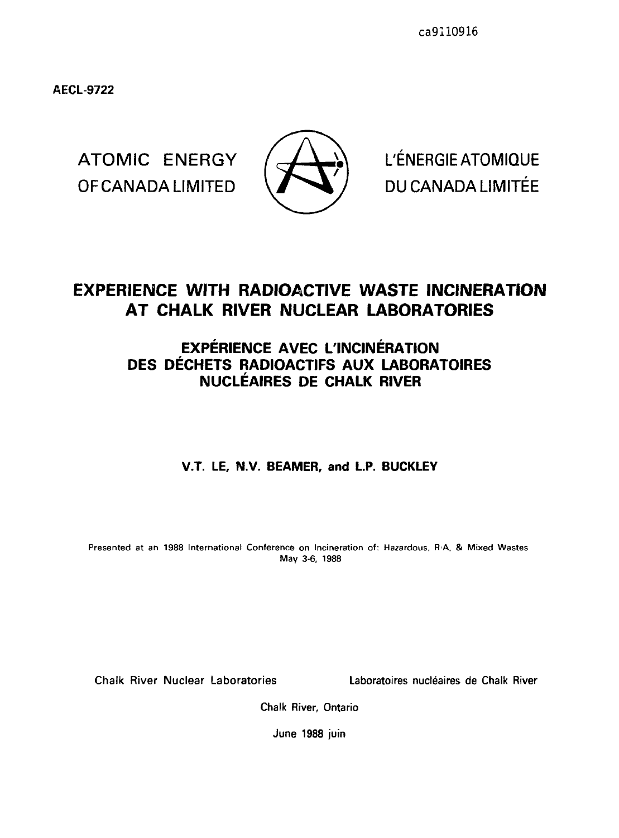**AECL-9722**

OF CANADA LIMITED  $\sqrt{}$  / DU CANADA LIMITÉE



ATOMIC ENERGY  $/$   $\rightarrow$  L'ENERGIE ATOMIQUE

# **EXPERIENCE WITH RADIOACTIVE WASTE INCINERATION AT CHALK RIVER NUCLEAR LABORATORIES**

# **EXPERIENCE AVEC L'INCINERATION DES DECHETS RADIOACTIFS AUX LABORATOIRES NUCLEAIRES DE CHALK RIVER**

# **V.T. LE, N.V. BEAMER, and L.P. BUCKLEY**

Presented at an 1988 International Conference on Incineration of: Hazardous, R<sub>'A</sub>, & Mixed Wastes May 3-6, 1988

Chalk River Nuclear Laboratories Laboratoires nucleaires de Chalk River

Chalk River, Ontario

June 1988 juin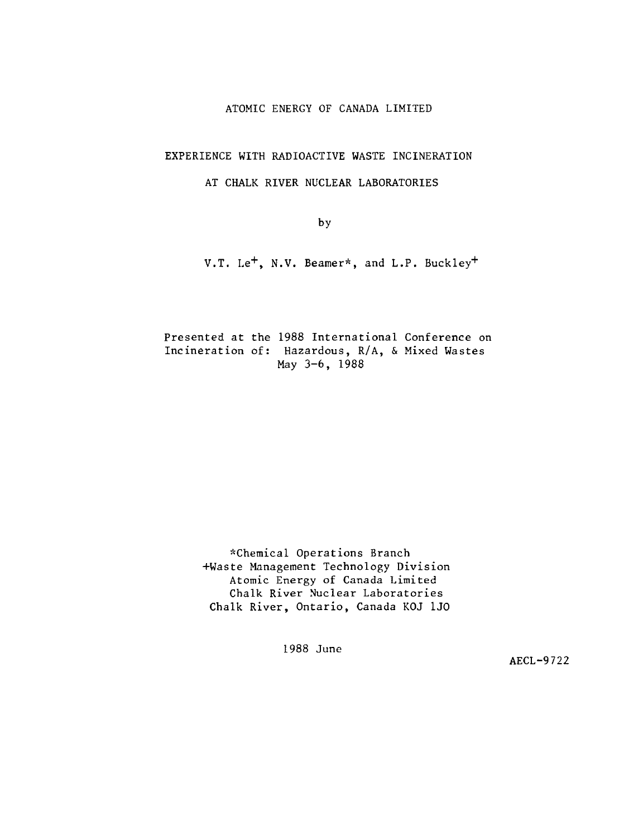### ATOMIC ENERGY OF CANADA LIMITED

### EXPERIENCE WITH RADIOACTIVE WASTE INCINERATION

### AT CHALK RIVER NUCLEAR LABORATORIES

by

V.T. Le<sup>+</sup>, N.V. Beamer\*, and L.P. Buckley<sup>+</sup>

Presented at the 1988 International Conference on Incineration of: Hazardous, R/A, & Mixed Wastes May 3-6, 1988

> ^Chemical Operations Branch +Waste Management Technology Division Atomic Energy of Canada Limited Chalk River Nuclear Laboratories Chalk River, Ontario, Canada KOJ 1J0

> > 1988 June

AECL-9722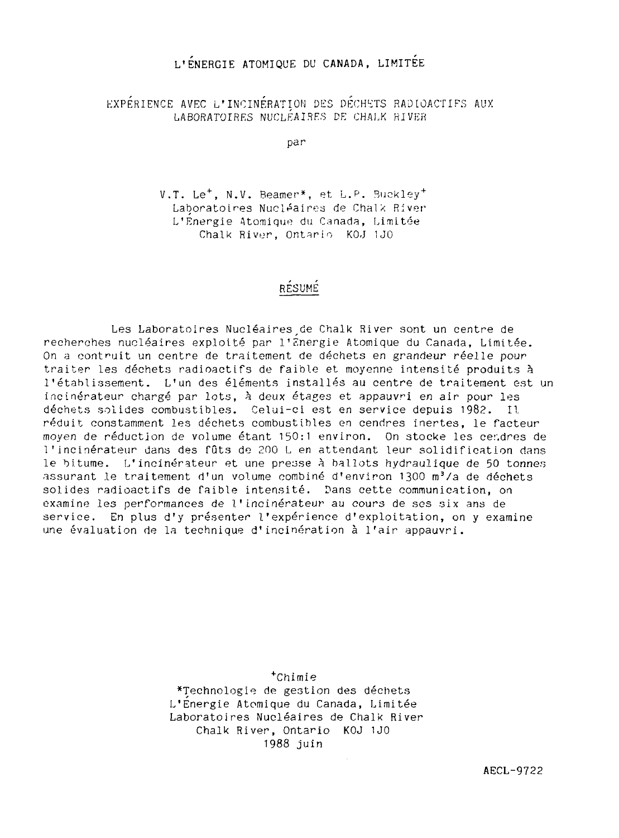# L'ENERGIE ATOMIQUE DU CANADA, LIMITÉE

EXPERIENCE AVEC L'INCINERATION DES DECHETS RADIOACTIFS AUX LABORATOIRES NUCLEAIRES DE CHALK HIVER

par

V.T. Le<sup>+</sup>, N.V. Beamer\*, et L.P. Buckley<sup>+</sup> Laboratoires Nucléaires de Chalk River L'Energie Atomique du Canada, Limitée Chalk River, Ontario KOJ 1J0

# RESUME

Les Laboratoires Nucléaires de Chalk River sont un centre de recherches nucléaires exploité par l'Energie Atomique du Canada, Limitée. On a contruit un centre de traitement de déchets en grandeur réelle pour traiter les déchets radioactifs de faible et moyenne intensité produits à l'établissement. L'un des éléments installés au centre de traitement est un incinérateur chargé par lots, à deux étages et appauvri en air pour les déchets solides combustibles. Celui-ci est en service depuis 1982. Il réduit constamment les déchets combustibles en cendres inertes, le facteur moyen de réduction de volume étant 150:1 environ. On stocke les cendres de l'incinérateur dans des fûts de 200 L en attendant leur solidification dans le bitume. L'incinérateur et une presse à ballots hydraulique de 50 tonnes assurant le traitement d'un volume combiné d'environ 1300 m<sup>3</sup>/a de déchets solides radioactifs de faible intensité. Dans cette communication, on examine les performances de l'incinérateur au cours de ses six ans de service. En plus d'y présenter l'expérience d'exploitation, on y examine une évaluation de la technique d'incinération à l'air appauvri.

> <sup>+</sup>Chimie ^Technologie de gestion des déchets L'Energie Atomique du Canada, Limitée Laboratoires Nucléaires de Chalk River Chalk River, Ontario KOJ 1J0 1988 juin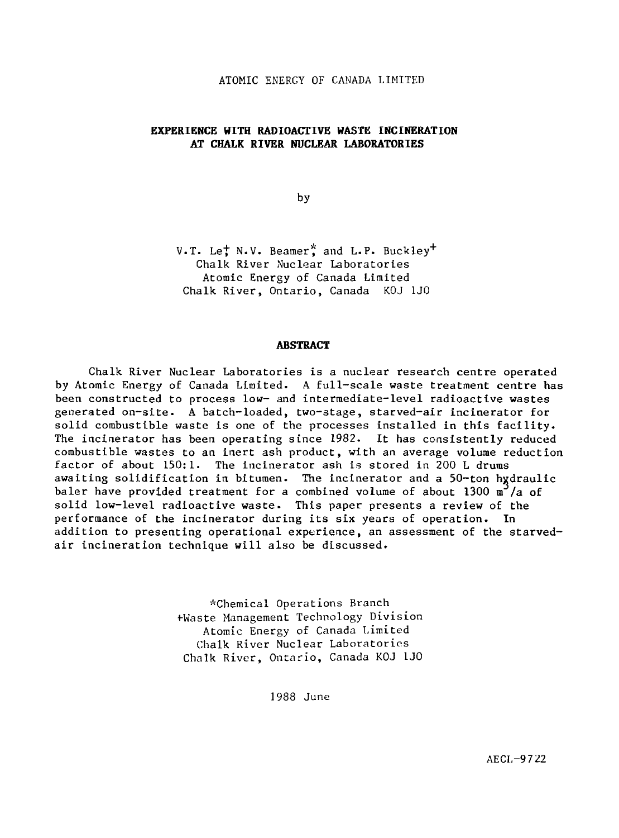#### ATOMIC ENERGY OF CANADA LIMITED

### **EXPERIENCE WITH RADIOACTIVE WASTE INCINERATION** AT CHALK RIVER NUCLEAR LABORATORIES

by

V.T. Le; N.V. Beamer, and L.P. Buckley+ Chalk River Nuclear Laboratories Atomic Energy of Canada Limited Chalk River, Ontario, Canada KOJ 1J0

#### **ABSTRACT**

Chalk River Nuclear Laboratories is a nuclear research centre operated by Atomic Energy of Canada Limited. A full-scale waste treatment centre has been constructed to process low- and intermediate-level radioactive wastes generated on-site. A batch-loaded, two-stage, starved-air incinerator for solid combustible waste is one of the processes installed in this facility. The incinerator has been operating since 1982. It has consistently reduced combustible wastes to an inert ash product, with an average volume reduction factor of about 150:1. The incinerator ash is stored in 200 L drums awaiting solidification in bitumen. The incinerator and a 50-ton hydraulic baler have provided treatment for a combined volume of about 1300  $\mathrm{m}^3/\mathrm{a}$  of solid low-level radioactive waste. This paper presents a review of the performance of the incinerator during its six years of operation. In addition to presenting operational experience, an assessment of the starvedair incineration technique will also be discussed.

> ^Chemical Operations Branch fWaste Management Technology Division Atomic Energy of Canada Limited Chalk River Nuclear Laboratories Chalk River, Ontario, Canada KOJ 1J0

> > 1988 June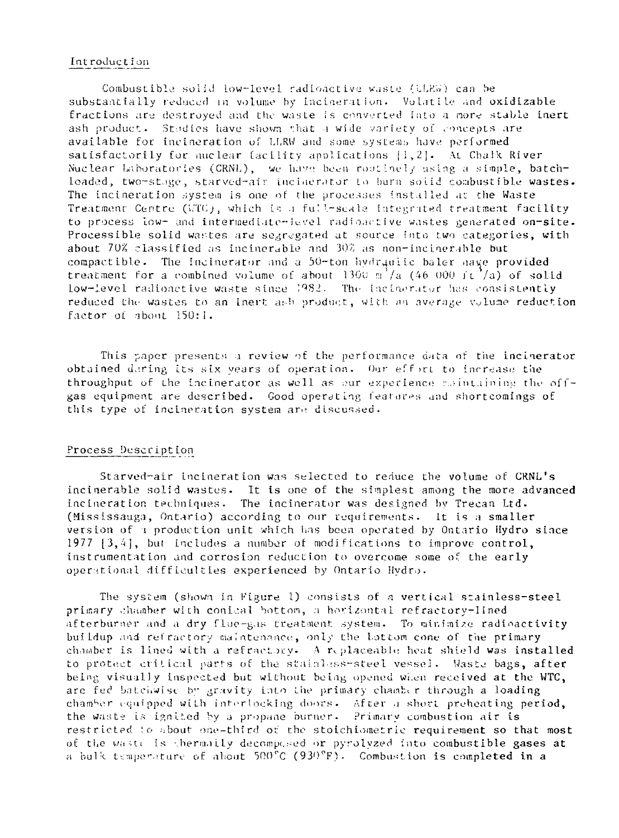#### Int roduc ti on

Combustible solid low-level radioactive waste (iJ.KW) can be substantially reduced in volume by incineration. Volatile and oxidizable fractions are destroyed and the waste is converted into a more stable inert ash product. Stadies have shown that a wide variety of concepts are available for incineration of U,RW and some systems have performed satisfactorily for nuclear facility applications  $\{1,2\}$ . At Chalk River Nuclear Laboratories (CRNL), we have been rootinely using a simple, batchloaded, two-stage, starved-air inciderator to burn solid combustible wastes. The incineration system is one of the processes installed at the Waste Treatmenr Centre ( $\langle \nabla \Gamma(t) \rangle$ , which is a full-scala integrated treatment facility to process low- and intermediate-ievel radioactive wastes generated on-site. Processible solid wastes are segregated at source into two categories, with about  $70\%$  classified as incinerable and  $30\%$  as non-incinerable but compactible. The incinerator and a 50-ton hydraulic baler have provided treatment for a combined volume of about  $1300 \text{ m}^2/a$  (46 000 jt<sup>2</sup>/a) of solid low-level radioactive waste since  $1982$ . The incinerator has consistently reduced the wastes to an inert ash product, with an average volume reduction factor of about 150:1.

This paper presents a review of the performance data of the incinerator obtained daring its six years of operation. Our effict to increase the throughput of the incinerator as well as our experience  $\epsilon$  intiming the offgas equipment are described. Good operdtlng features and shortcomings of this type of incineration system are discussed.

### Process Description

Starved-air incineration was selected to reduce the volume of CRNL's incinerable solid wastes. It is one of the simplest among the more advanced incineration techniques. The incinerator was designed by Trecan Ltd. (Mississauga, Ontario) according to our requirements. it is a smaller version of i production unit which lias been operated by Ontario Hydro since 1977  $[3,4]$ , but includes a number of modifications to improve control, instrumentation and corrosion reduction to overcome some of the early operational difficulties experienced by Ontario Hydro.

The system (shown In Figure 1) consists of a vertical stainless-steel primary chamber with conical Sottom, a horizontal refractory-lined afterburner and a dry flue-gas treatment system. To minimise radioactivity buiLdup and refractory maintenance, only the bottom cone of the primary chamber is lined with a refractory. A replaceable heat shield was installed to protect critical parts of the stainless-steel vessel. Waste bags, after being visually inspected but without being opened wi.en received at the WTC, are fed batchwisc by gravity into the primary chamber through a loading chamber equipped with interlocking doors. After a short preheating period, the waste is ignited by a propane burner. Primary combustion air is restricted to about one-third of the stoichiometric requirement so that most of the waste is thermaily decomposed or pyrolyzed into combustible gases at a bulk temperature of about  $500^{\circ}$ C (930°F). Combustion is completed in a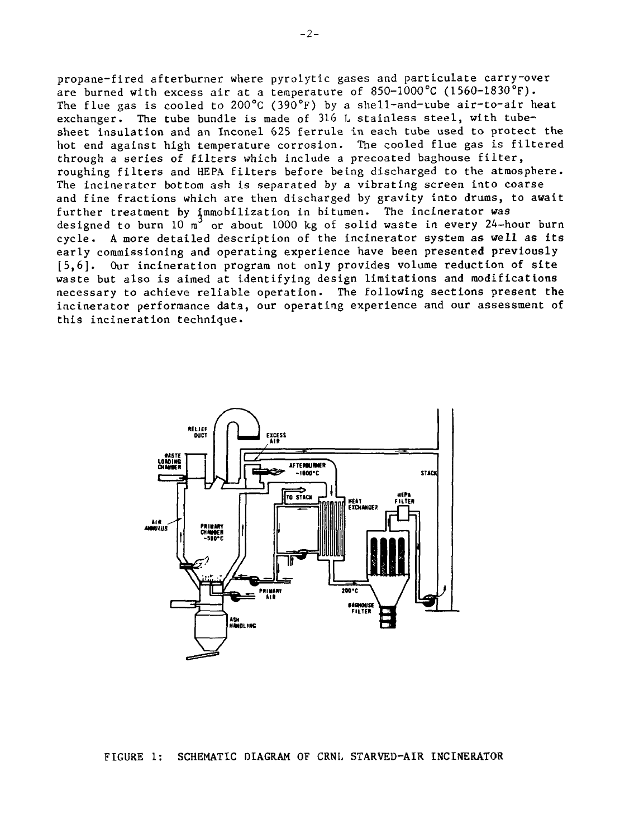propane-fired afterburner where pyrolytic gases and particulate carry-over are burned with excess air at a temperature of 850-1000°C (156O-183O°F). The flue gas is cooled to 200 $^{\circ}$ C (390 $^{\circ}$ F) by a shell-and-tube air-to-air heat exchanger. The tube bundle is made of 316 L stainless steel, with tubesheet insulation and an Inconel 625 ferrule in each tube used to protect the hot end against high temperature corrosion. The cooled flue gas is filtered through a series of filters which include a precoated baghouse filter, roughing filters and HEPA filters before being discharged to the atmosphere. The incinerator bottom ash is separated by a vibrating screen into coarse and fine fractions which are then discharged by gravity into drums, to await further treatment by immobilization in bitumen. The incinerator was designed to burn 10 m<sup>3</sup> or about 1000 kg of solid waste in every 24-hour burn cycle. A more detailed description of the incinerator system as well as its early commissioning and operating experience have been presented previously [5,6]. Our incineration program not only provides volume reduction of site waste but also is aimed at identifying design limitations and modifications necessary to achieve reliable operation. The following sections present the incinerator performance data, our operating experience and our assessment of this incineration technique.

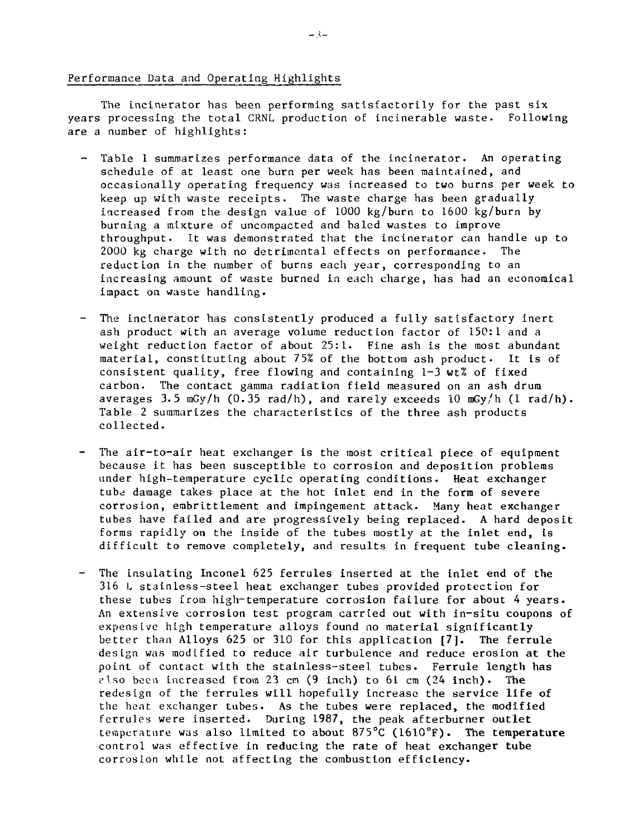### Performance Data and Operating Highlights

The incinerator has been performing satisfactorily for the past six years processing the total CRNL production of incinerable waste. Following are a number of highlights:

- Table 1 summarizes performance data of the incinerator. An operating schedule of at least one burn per week has been maintained, and occasionally operating frequency was increased to two burns per week to keep up with waste receipts. The waste charge has been gradually increased from the design value of 1000 kg/burn to 1600 kg/burn by burning a mixture of uncompacted and baled wastes to improve throughput. It was demonstrated that the incinerator can handle up to 2000 kg charge with no detrimental effects on performance. The reduction in the number of burns each year, corresponding to an increasing amount of waste burned in each charge, has had an economical impact on waste handling.
- The incinerator has consistently produced a fully satisfactory inert ash product with an average volume reduction factor of 150:1 and a weight reduction factor of about 25:1. Fine ash is the most abundant material, constituting about 75% of the bottom ash product. It is of consistent quality, free flowing and containing 1-3 wt% of fixed carbon. The contact gamma radiation field measured on an ash drum averages 3.5  $mGy/h$  (0.35 rad/h), and rarely exceeds 10  $mGy/h$  (1 rad/h). Table 2 summarizes the characteristics of the three ash products collected.
- The air-to-air heat exchanger is the most critical piece of equipment because it has been susceptible to corrosion and deposition problems under high-temperature cyclic operating conditions. Heat exchanger tube damage takes place at the hot inlet end in the form of severe corrosion, embrittlement and impingement attack. Many heat exchanger tubes have failed and are progressively being replaced. A hard deposit forms rapidly on the inside of the tubes mostly at the inlet end, is difficult to remove completely, and results in frequent tube cleaning.
- The insulating Inconel 625 ferrules inserted at the inlet end of the 316 L stainless-steel heat exchanger tubes provided protection for these tubes from high-temperature corrosion failure for about 4 years. An extensive corrosion test program carried out with in-situ coupons of expensive high temperature alloys found no material significantly better than Alloys 625 or 310 for this application **[7].** The ferrule design was modified to reduce air turbulence and reduce erosion at the point of contact with the stainless-steel tubes. Ferrule length has c'l.so been increased from 23 en (9 inch) to 61 cm (24 inch). The redesign of the ferrules will hopefully increase the service life of the heat exchanger tubes. As the tubes were replaced, the modified ferrules were inserted. During 1987, the peak afterburner outlet temperature was also limited to about 875°C (1610°F). **The temperature** control was effective in reducing the rate of heat exchanger **tube** corrosion while not affecting the combustion efficiency.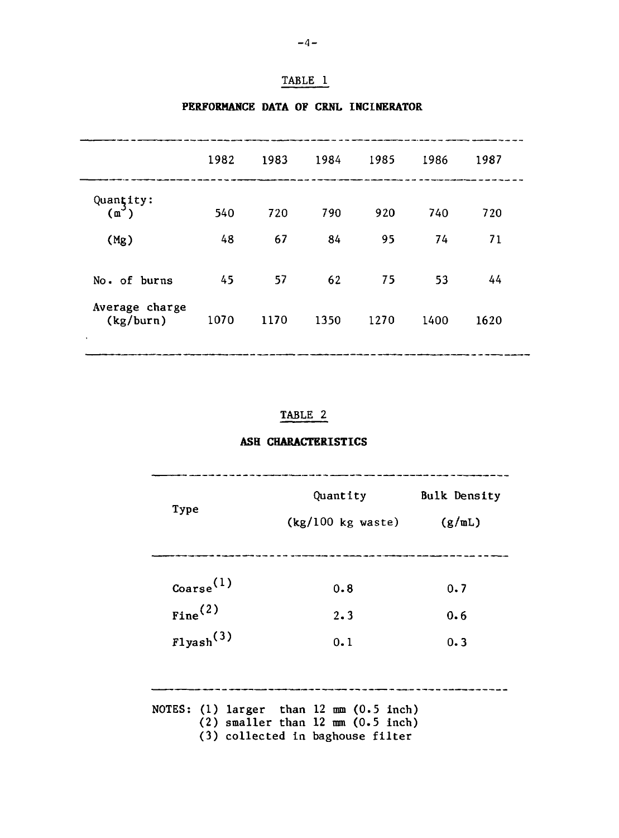# TABLE 1

|                             | 1982 | 1983 | 1984 | 1985 | 1986 | 1987 |
|-----------------------------|------|------|------|------|------|------|
| Quantity:<br>$(m^3)$        | 540  | 720  | 790  | 920  | 740  | 720  |
| (Mg)                        | 48   | 67   | 84   | 95   | 74   | 71   |
| No. of burns                | 45   | 57   | 62   | 75   | 53   | 44   |
| Average charge<br>(kg/burn) | 1070 | 1170 | 1350 | 1270 | 1400 | 1620 |
| ٠                           |      |      |      |      |      |      |

# **PERFORMANCE DATA OF CRNL INCINERATOR**

## TABLE 2

## **ASH CHARACTERISTICS**

| Type            |                        | Quantity<br>(kg/100 kg waste)                                                                                                             | <b>Bulk Density</b><br>$(g/\mathfrak{m}L)$ |
|-----------------|------------------------|-------------------------------------------------------------------------------------------------------------------------------------------|--------------------------------------------|
| $\frac{(1)}{2}$ |                        | 0.8                                                                                                                                       | 0.7                                        |
|                 | $_{\text{fine}}^{(2)}$ | 2.3                                                                                                                                       | 0.6                                        |
|                 | Flyash <sup>(3)</sup>  | 0.1                                                                                                                                       | 0.3                                        |
|                 |                        |                                                                                                                                           |                                            |
|                 |                        | NOTES: $(1)$ larger than $12 \text{ mm } (0.5 \text{ inch})$<br>$(2)$ smaller than 12 mm $(0.5$ inch)<br>(3) collected in baghouse filter |                                            |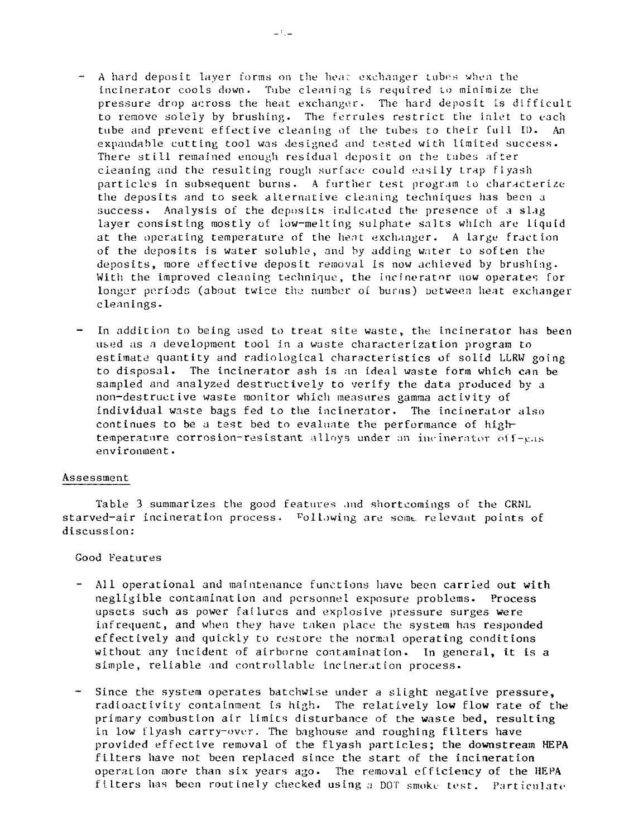- $-$  A hard deposit layer forms on the heat exchanger tubes when the incinerator cools down. Tube cleaning is required LO minimize the pressure drop across the heat exchanger. The hard deposit is difficult to remove solely by brushing. The ferrules restrict the inlet to each tube and prevent effective cleaning of the tubes to their full II). An expandable cutting tool was designed and tested with limited success. There still remained enough residual deposit on the tubes after cleaning and the resulting rough surface could easily trap flyash particles in subsequent burns. A further test program to characterize the deposits and to seek alternative cleaning techniques has been a success. Analysis of the deposits indicated the presence of a slag layer consisting mostly of low-melting sulphate salts which are liquid at the operating temperature of the heat exchanger. A large fraction of the deposits is water soluble, and by adding water to soften the deposits, more effective deposit removal is now achieved by brushing. With the improved cleaning technique, the incinerator now operates for longer periods (about twice the number of burns) between heat exchanger cleanings.
- In addition to being used to treat site waste, the incinerator has been u&ed as a development tool in a waste characterization program to estimate quantity and radiological characteristics of solid LLRW going to disposal. The incinerator ash is an ideal waste form which can be sampled and analyzed destructively to verify the data produced by a non-destructive waste monitor which measures gamma activity of individual waste bags fed to the incinerator. The incinerator also continues to be a test bed to evaluate the performance of hightemperature corrosion-resistant alloys under an incinerator off-eas environment.

#### Assessment

Table 3 summarizes the good features and shortcomings of the CRNL starved-air incineration process. Following are some relevant points of discussion:

Good Features

- $\frac{1}{2}$ All operational and maintenance functions have been carried out with negligible contamination and personnel exposure problems. Process upsets such as power failures and explosive pressure surges were infrequent, and when they have taken place the system has responded effectively and quickly to restore the normal operating conditions without any incident of airborne contamination. In general, it is a simple, reliable and controllable incineration process.
- Since the system operates batchwise under a slight negative pressure, radioactivity containment is high. The relatively low flow rate of the primary combustion air limits disturbance of the waste bed, resulting in low flyash carry-over. The baghouse and roughing filters have provided effective removal of the flyash particles; the downstream HEPA filters have not been replaced since the start of the incineration operation more than six years ago. The removal efficiency of the HEPA filters has been routinely checked using a DOT smoke test. Particulate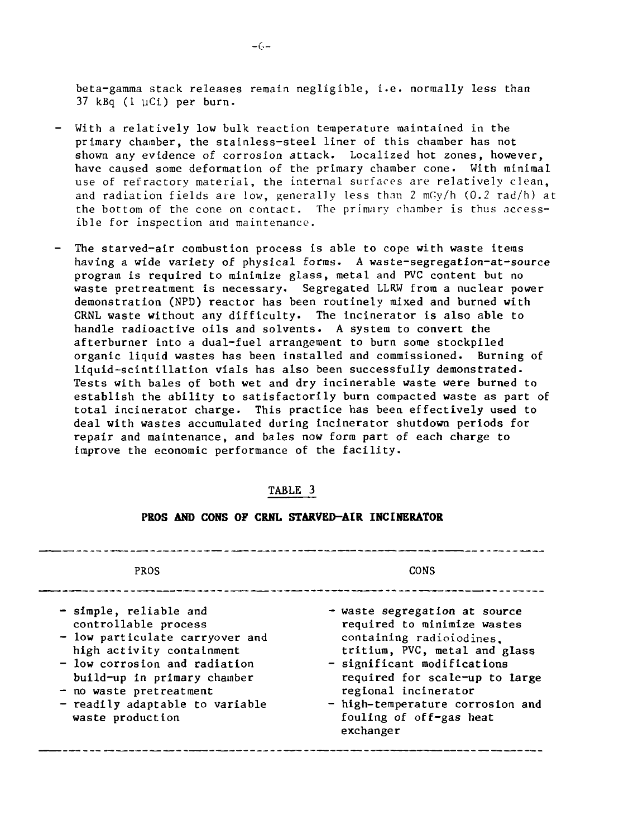beta-gamma stack releases remain negligible, i.e. normally less than 37 kBq (1 uCi) per burn.

- With a relatively **low** bulk reaction temperature maintained in the primary chamber, the stainless-steel liner of this chamber has not shown any evidence of corrosion attack. Localized hot zones, **however, have** caused some deformation of the primary chamber cone. With minimal use of refractory material, the internal surfaces are relatively clean, and radiation fields are low, generally less than  $2 \text{ mGy/h}$  (0.2 rad/h) at the bottom of the cone on contact. The primary chamber is thus accessible for inspection and maintenance.
- **The starved-air combustion process is able to cope with waste items having a wide variety of physical forms. A waste-segregation-at-source program is required to minimize glass, metal and PVC content but no** waste pretreatment is necessary. Segregated LLRW from a nuclear power **demonstration (NPD) reactor has been routinely mixed and burned with CRNL waste without any difficulty. The incinerator is also able to handle radioactive oils and solvents. A system to convert the afterburner into** a **dual-fuel arrangement to burn some stockpiled organic liquid wastes has been installed and commissioned. Burning of liquid-scintillation vials has also been successfully demonstrated. Tests with bales of both wet and dry incinerable waste were burned to establish the ability to satisfactorily burn compacted waste as part of total incinerator charge. This practice has been effectively used to deal with wastes accumulated during incinerator shutdown periods for repair and maintenance, and bales now form part of each charge to improve the economic performance of the facility.**

### **TABLE 3**

| PROS                                                                                                                                                                                                                                                               | CONS                                                                                                                                                                                                                                                                                           |
|--------------------------------------------------------------------------------------------------------------------------------------------------------------------------------------------------------------------------------------------------------------------|------------------------------------------------------------------------------------------------------------------------------------------------------------------------------------------------------------------------------------------------------------------------------------------------|
| - simple, reliable and<br>controllable process<br>- low particulate carryover and<br>high activity containment<br>- low corrosion and radiation<br>build-up in primary chamber<br>$-$ no waste pretreatment<br>- readily adaptable to variable<br>waste production | - waste segregation at source<br>required to minimize wastes<br>containing radioiodines.<br>tritium, PVC, metal and glass<br>- significant modifications<br>required for scale-up to large<br>regional incinerator<br>- high-temperature corrosion and<br>fouling of off-gas heat<br>exchanger |

### **PROS AND CONS OF CRNL STARVED-AIR INCINERATOR**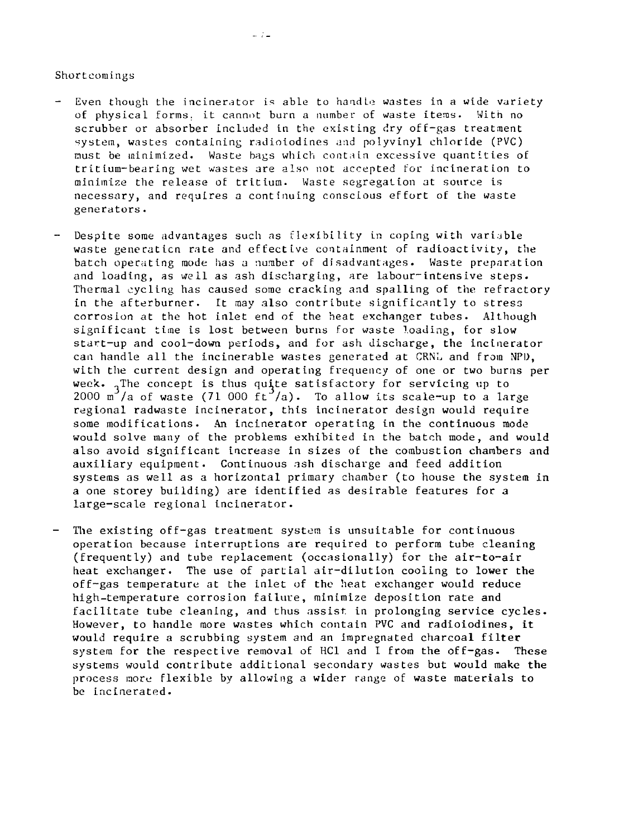#### Shortcomings

Even though the incinerator is able to handle wastes in a wide variety of physical forms, it cannot burn a number of waste items. With no scrubber or absorber included in the existing dry off-gas treatment system, wastes containing radioiodines and polyvinyl chloride (PVC) must be minimized. Waste bags which contain excessive quantities of tritium-bearing wet wastes are also not accepted for incineration to minimize the release of tritium. Waste segregation at source is necessary, and requires a continuing conscious effort of the waste generators.

 $\frac{1}{2}$ 

- Despite some advantages such as flexibility in coping with variable waste generation rate and effective containment of radioactivity, the batch operating mode has a number of disadvantages. Waste preparation and loading, as well as ash discharging, are labour-intensive steps. Thermal cycling has caused some cracking and spalling of the refractory in the afterburner. It may also contribute significantly to stress corrosion at the hot inlet end of the heat exchanger tubes. Although significant time is lost between burns for waste loading, for slow start-up and cool-down periods, and for ash discharge, the incinerator can handle all the incinerable wastes generated at CRNL and from NPD, with the current design and operating frequency of one or two burns per week.  $_{1}$ The concept is thus quite satisfactory for servicing up to 2000 m<sup>3</sup>/a of waste (71 000 ft<sup>3</sup>/a). To allow its scale-up to a large regional radwaste incinerator, this incinerator design would require some modifications. An incinerator operating in the continuous mode would solve many of the problems exhibited in the batch mode, and would also avoid significant increase in sizes of the combustion chambers and auxiliary equipment. Continuous ash discharge and feed addition systems as well as a horizontal primary chamber (to house the system in a one storey building) are identified as desirable features for a large-scale regional incinerator.
- The existing off-gas treatment system is unsuitable for continuous operation because interruptions are required to perform tube cleaning (frequently) and tube replacement (occasionally) for the air-to-air heat exchanger. The use of partial air-dilution cooling to lower the off-gas temperature at the inlet of the heat exchanger would reduce high-temperature corrosion failure, minimize deposition rate and facilitate tube cleaning, and thus assist, in prolonging service cycles. However, to handle more wastes which contain PVC and radioiodines, it would require a scrubbing system and an impregnated charcoal filter system for the respective removal of HC1 and I from the off-gas. These systems would contribute additional secondary wastes but would make **the** process more flexible by allowing a wider range of waste materials to be incinerated.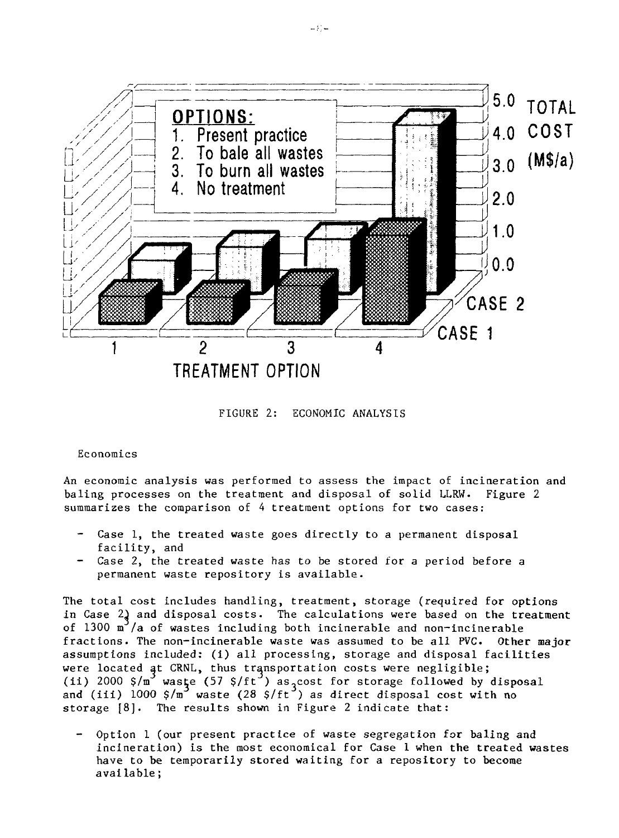

FIGURE 2: ECONOMIC ANALYSIS

#### Economics

An economic analysis was performed to assess the impact of incineration and baling processes on the treatment and disposal of solid LLRW. Figure 2 summarizes the comparison of 4 treatment options for two cases:

- Case 1, the treated waste goes directly to a permanent disposal facility, and
- Case 2, the treated waste has to be stored for a period before a permanent waste repository is available.

The total cost includes handling, treatment, storage (required for options in Case 2) and disposal costs. The calculations were based on the treatment of 1300  $\text{m}^3$ /a of wastes including both incinerable and non-incinerable fractions. The non-incinerable waste was assumed to be all PVC. Other major assumptions included: (i) all processing, storage and disposal facilities were located at CRNL, thus transportation costs were negligible; (ii) 2000  $\frac{1}{2}$  waste (57  $\frac{1}{2}$  f(ft<sup>3</sup>) as<sub>2</sub>cost for storage followed by disposal and (iii) 1000 \$/m  $\,$  waste (28 \$/ft  $\,$  ) as direct disposal cost with no storage [8]. The results shown in Figure 2 indicate that:

Option 1 (our present practice of waste segregation for baling and incineration) is the most economical for Case 1 when the treated wastes have to be temporarily stored waiting for a repository to become available;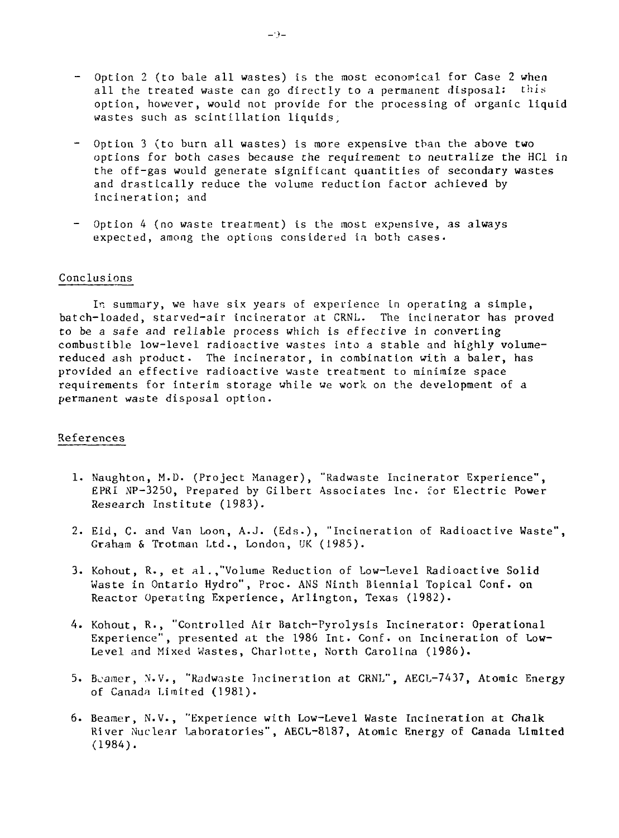- Option 2 (to bale all wastes) is the most economical for Case 2 when all the treated waste can go directly to a permanent disposal: this option, however, would not provide for the processing of organic liquid wastes such as scintillation liquids;
- Option 3 (to burn all wastes) is more expensive than the above two options for both cases because the requirement to neutralize the HC1 in the off-gas would generate significant quantities of secondary wastes and drastically reduce the volume reduction factor achieved by incineration; and
- Option 4 (no waste treatment) is the most expensive, as always expected, among the options considered in both cases.

#### Conclusions

In summary, we have six years of experience in operating a simple, batch-loaded, starved-air incinerator at CRNL. The incinerator has proved to be a safe and reliable process which is effective in converting combustible low-level radioactive wastes into a stable and highly volumereduced ash product. The incinerator, in combination with a baler, has provided an effective radioactive waste treatment to minimize space requirements for interim storage while we work on the development of a permanent waste disposal option.

#### References

- 1. Naughton, M.D. (Project Manager), "Radwaste Incinerator Experience", EPRI NP-3250, Prepared by Gilbert Associates Inc. for Electric Power Research Institute (1983).
- 2. Eid, C. and Van Loon, A.J. (Eds.), "Incineration of Radioactive Waste", Graham & Trotman Ltd., London, UK (1985).
- 3. Kohout, R., et al. ."Volume Reduction of Low-Level Radioactive **Solid** Waste in Ontario Hydro", Proc. ANS Ninth Biennial Topical Conf. on Reactor Operating Experience, Arlington, Texas (1982).
- 4. Kohout, R., "Controlled Air Batch-Pyrolysis Incinerator: Operational Experience", presented at the 1986 Int. Conf. on Incineration of Low-Level and Mixed Wastes, Charlotte, North Carolina (1986).
- 5. Bcamer, N.V., "Radwnste Incineration at CRNL", AECL-7437, Atomic Energy of Canada Limited (1981).
- 6. Beamer, N.V., "Experience with Low-Level Waste Incineration at Chalk River Nuclear Laboratories", AECL-8187, Atomic Energy of **Canada Limited** (1984).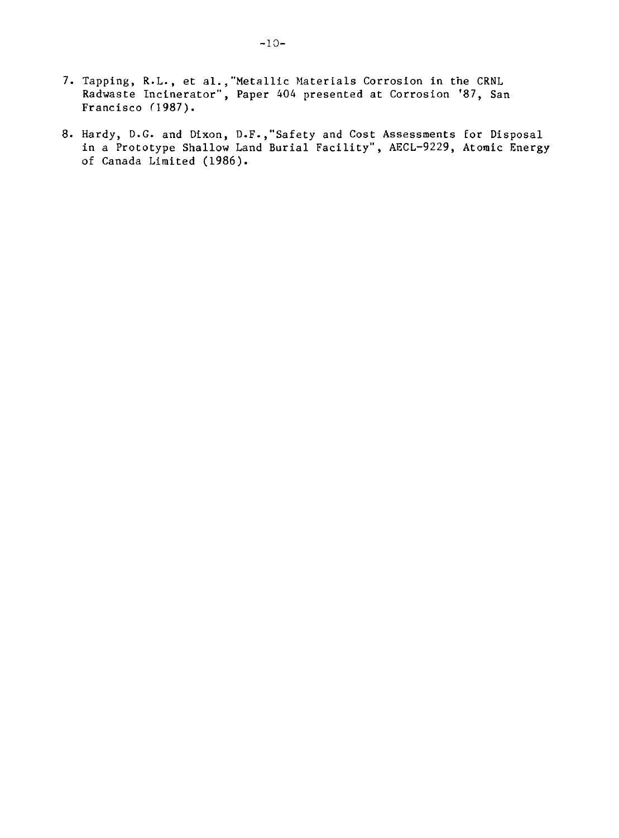- 7. Tapping, R.L., et al.,"Metallic Materials Corrosion in the CRNL Radwaste Incinerator", Paper 404 presented at Corrosion '87, San Francisco C1987).
- 8. Hardy, D.G. and Dixon, D.F.,"Safety and Cost Assessments for Disposal in a Prototype Shallow Land Burial Facility", AECL-9229, Atomic Energy of Canada Limited (1986).